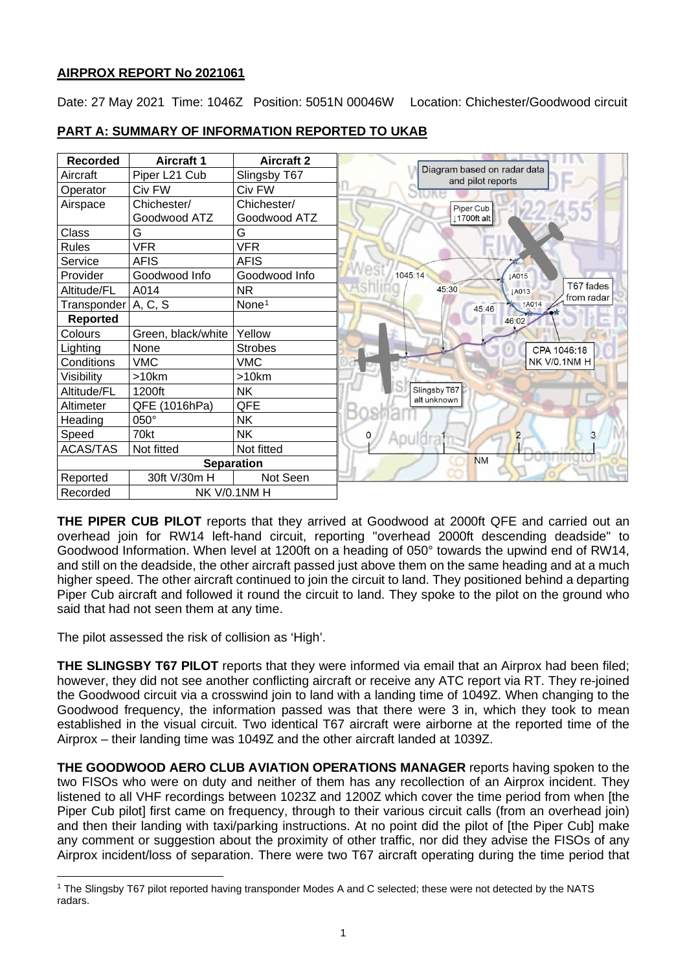# **AIRPROX REPORT No 2021061**

Date: 27 May 2021 Time: 1046Z Position: 5051N 00046W Location: Chichester/Goodwood circuit

| <b>Recorded</b>                 | <b>Aircraft 1</b>  | <b>Aircraft 2</b> |                                                  |  |  |
|---------------------------------|--------------------|-------------------|--------------------------------------------------|--|--|
| Aircraft                        | Piper L21 Cub      | Slingsby T67      | Diagram based on radar data<br>and pilot reports |  |  |
| Operator                        | Civ FW             | Civ FW            |                                                  |  |  |
| Airspace                        | Chichester/        | Chichester/       | Piper Cub                                        |  |  |
|                                 | Goodwood ATZ       | Goodwood ATZ      | 1700ft alt                                       |  |  |
| Class                           | G                  | G                 |                                                  |  |  |
| <b>Rules</b>                    | <b>VFR</b>         | <b>VFR</b>        |                                                  |  |  |
| Service                         | AFIS               | AFIS              |                                                  |  |  |
| Provider                        | Goodwood Info      | Goodwood Info     | 1045:14<br><b>LA015</b>                          |  |  |
| Altitude/FL                     | A014               | NR.               | T67 fades<br>45:30<br>LA013<br>from radar        |  |  |
| Transponder   A, C, S           |                    | None <sup>1</sup> | <b>AO14</b><br>45:46                             |  |  |
| <b>Reported</b>                 |                    |                   | 46:02                                            |  |  |
| Colours                         | Green, black/white | Yellow            |                                                  |  |  |
| Lighting                        | None               | <b>Strobes</b>    | CPA 1046:18                                      |  |  |
| Conditions                      | VMC                | <b>VMC</b>        | NK V/0.1NM H                                     |  |  |
| Visibility                      | >10km              | >10km             |                                                  |  |  |
| Altitude/FL                     | 1200ft             | <b>NK</b>         | Slingsby T67                                     |  |  |
| Altimeter                       | QFE (1016hPa)      | QFE               | alt unknown                                      |  |  |
| Heading                         | 050°               | <b>NK</b>         |                                                  |  |  |
| Speed                           | 70kt               | <b>NK</b>         | 3<br>$\overline{c}$<br>0                         |  |  |
| <b>ACAS/TAS</b>                 | Not fitted         | Not fitted        |                                                  |  |  |
| <b>Separation</b>               |                    |                   | <b>NM</b>                                        |  |  |
| Reported                        | 30ft V/30m H       | Not Seen          |                                                  |  |  |
| <b>NK V/0.1NM H</b><br>Recorded |                    |                   |                                                  |  |  |

# **PART A: SUMMARY OF INFORMATION REPORTED TO UKAB**

**THE PIPER CUB PILOT** reports that they arrived at Goodwood at 2000ft QFE and carried out an overhead join for RW14 left-hand circuit, reporting "overhead 2000ft descending deadside" to Goodwood Information. When level at 1200ft on a heading of 050° towards the upwind end of RW14, and still on the deadside, the other aircraft passed just above them on the same heading and at a much higher speed. The other aircraft continued to join the circuit to land. They positioned behind a departing Piper Cub aircraft and followed it round the circuit to land. They spoke to the pilot on the ground who said that had not seen them at any time.

The pilot assessed the risk of collision as 'High'.

**THE SLINGSBY T67 PILOT** reports that they were informed via email that an Airprox had been filed; however, they did not see another conflicting aircraft or receive any ATC report via RT. They re-joined the Goodwood circuit via a crosswind join to land with a landing time of 1049Z. When changing to the Goodwood frequency, the information passed was that there were 3 in, which they took to mean established in the visual circuit. Two identical T67 aircraft were airborne at the reported time of the Airprox – their landing time was 1049Z and the other aircraft landed at 1039Z.

**THE GOODWOOD AERO CLUB AVIATION OPERATIONS MANAGER** reports having spoken to the two FISOs who were on duty and neither of them has any recollection of an Airprox incident. They listened to all VHF recordings between 1023Z and 1200Z which cover the time period from when [the Piper Cub pilot] first came on frequency, through to their various circuit calls (from an overhead join) and then their landing with taxi/parking instructions. At no point did the pilot of [the Piper Cub] make any comment or suggestion about the proximity of other traffic, nor did they advise the FISOs of any Airprox incident/loss of separation. There were two T67 aircraft operating during the time period that

<span id="page-0-0"></span><sup>1</sup> The Slingsby T67 pilot reported having transponder Modes A and C selected; these were not detected by the NATS radars.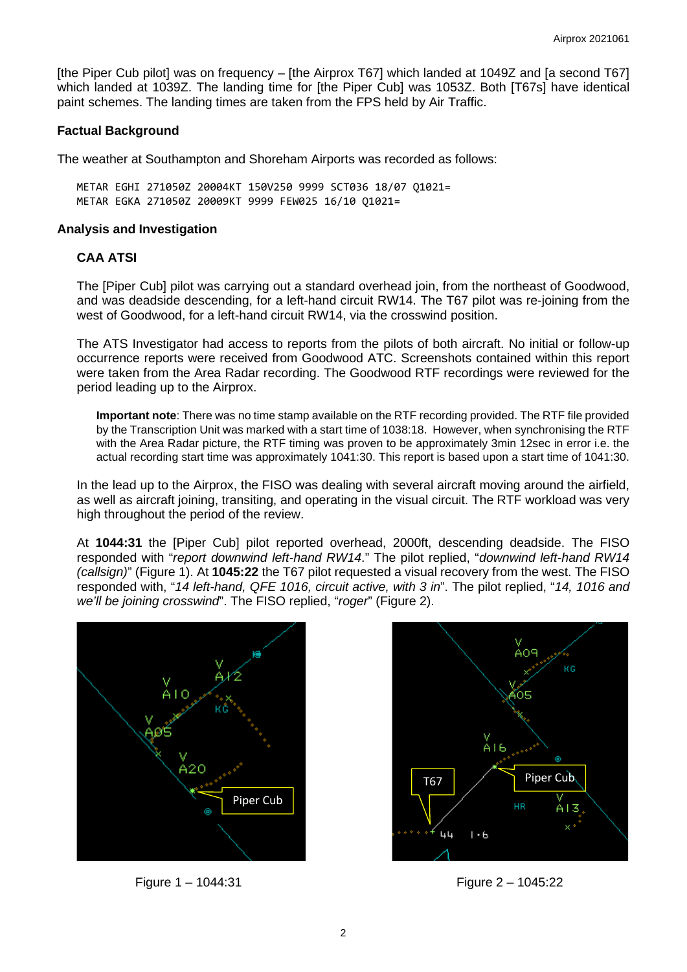[the Piper Cub pilot] was on frequency – [the Airprox T67] which landed at 1049Z and [a second T67] which landed at 1039Z. The landing time for [the Piper Cub] was 1053Z. Both [T67s] have identical paint schemes. The landing times are taken from the FPS held by Air Traffic.

## **Factual Background**

The weather at Southampton and Shoreham Airports was recorded as follows:

METAR EGHI 271050Z 20004KT 150V250 9999 SCT036 18/07 Q1021= METAR EGKA 271050Z 20009KT 9999 FEW025 16/10 Q1021=

#### **Analysis and Investigation**

#### **CAA ATSI**

The [Piper Cub] pilot was carrying out a standard overhead join, from the northeast of Goodwood, and was deadside descending, for a left-hand circuit RW14. The T67 pilot was re-joining from the west of Goodwood, for a left-hand circuit RW14, via the crosswind position.

The ATS Investigator had access to reports from the pilots of both aircraft. No initial or follow-up occurrence reports were received from Goodwood ATC. Screenshots contained within this report were taken from the Area Radar recording. The Goodwood RTF recordings were reviewed for the period leading up to the Airprox.

**Important note**: There was no time stamp available on the RTF recording provided. The RTF file provided by the Transcription Unit was marked with a start time of 1038:18. However, when synchronising the RTF with the Area Radar picture, the RTF timing was proven to be approximately 3min 12sec in error i.e. the actual recording start time was approximately 1041:30. This report is based upon a start time of 1041:30.

In the lead up to the Airprox, the FISO was dealing with several aircraft moving around the airfield, as well as aircraft joining, transiting, and operating in the visual circuit. The RTF workload was very high throughout the period of the review.

At **1044:31** the [Piper Cub] pilot reported overhead, 2000ft, descending deadside. The FISO responded with "*report downwind left-hand RW14*." The pilot replied, "*downwind left-hand RW14 (callsign)*" (Figure 1). At **1045:22** the T67 pilot requested a visual recovery from the west. The FISO responded with, "*14 left-hand, QFE 1016, circuit active, with 3 in*". The pilot replied, "*14, 1016 and we'll be joining crosswind*". The FISO replied, "*roger*" (Figure 2).



Figure 1 – 1044:31 Figure 2 – 1045:22

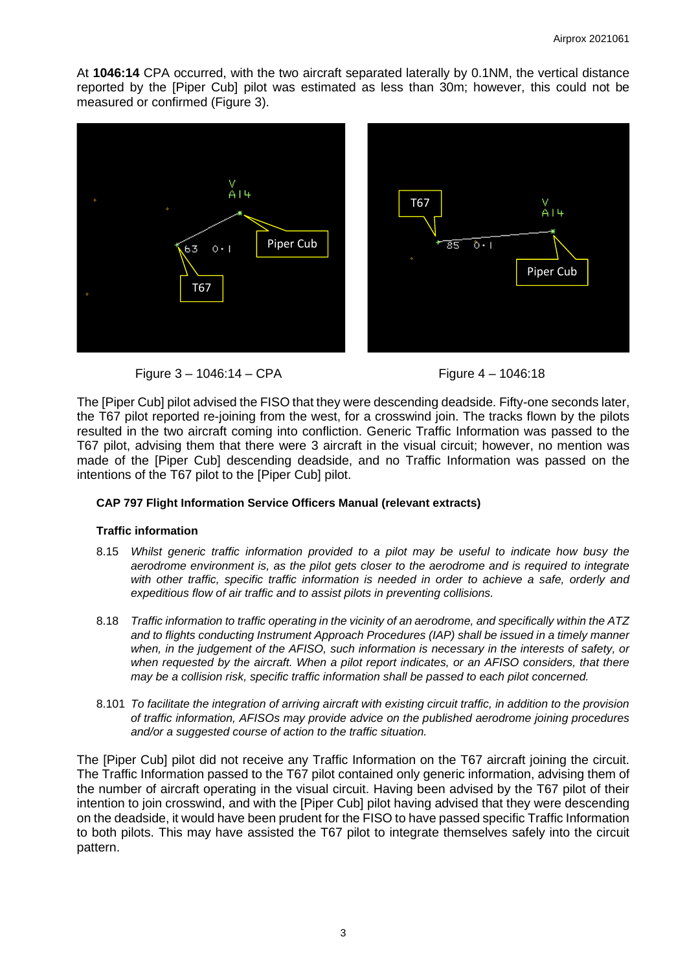At **1046:14** CPA occurred, with the two aircraft separated laterally by 0.1NM, the vertical distance reported by the [Piper Cub] pilot was estimated as less than 30m; however, this could not be measured or confirmed (Figure 3).



Figure 3 – 1046:14 – CPA Figure 4 – 1046:18

The [Piper Cub] pilot advised the FISO that they were descending deadside. Fifty-one seconds later, the T67 pilot reported re-joining from the west, for a crosswind join. The tracks flown by the pilots resulted in the two aircraft coming into confliction. Generic Traffic Information was passed to the T67 pilot, advising them that there were 3 aircraft in the visual circuit; however, no mention was made of the [Piper Cub] descending deadside, and no Traffic Information was passed on the intentions of the T67 pilot to the [Piper Cub] pilot.

### **CAP 797 Flight Information Service Officers Manual (relevant extracts)**

### **Traffic information**

- 8.15 *Whilst generic traffic information provided to a pilot may be useful to indicate how busy the aerodrome environment is, as the pilot gets closer to the aerodrome and is required to integrate with other traffic, specific traffic information is needed in order to achieve a safe, orderly and expeditious flow of air traffic and to assist pilots in preventing collisions.*
- 8.18 *Traffic information to traffic operating in the vicinity of an aerodrome, and specifically within the ATZ and to flights conducting Instrument Approach Procedures (IAP) shall be issued in a timely manner when, in the judgement of the AFISO, such information is necessary in the interests of safety, or*  when requested by the aircraft. When a pilot report indicates, or an AFISO considers, that there *may be a collision risk, specific traffic information shall be passed to each pilot concerned.*
- 8.101 *To facilitate the integration of arriving aircraft with existing circuit traffic, in addition to the provision of traffic information, AFISOs may provide advice on the published aerodrome joining procedures and/or a suggested course of action to the traffic situation.*

The [Piper Cub] pilot did not receive any Traffic Information on the T67 aircraft joining the circuit. The Traffic Information passed to the T67 pilot contained only generic information, advising them of the number of aircraft operating in the visual circuit. Having been advised by the T67 pilot of their intention to join crosswind, and with the [Piper Cub] pilot having advised that they were descending on the deadside, it would have been prudent for the FISO to have passed specific Traffic Information to both pilots. This may have assisted the T67 pilot to integrate themselves safely into the circuit pattern.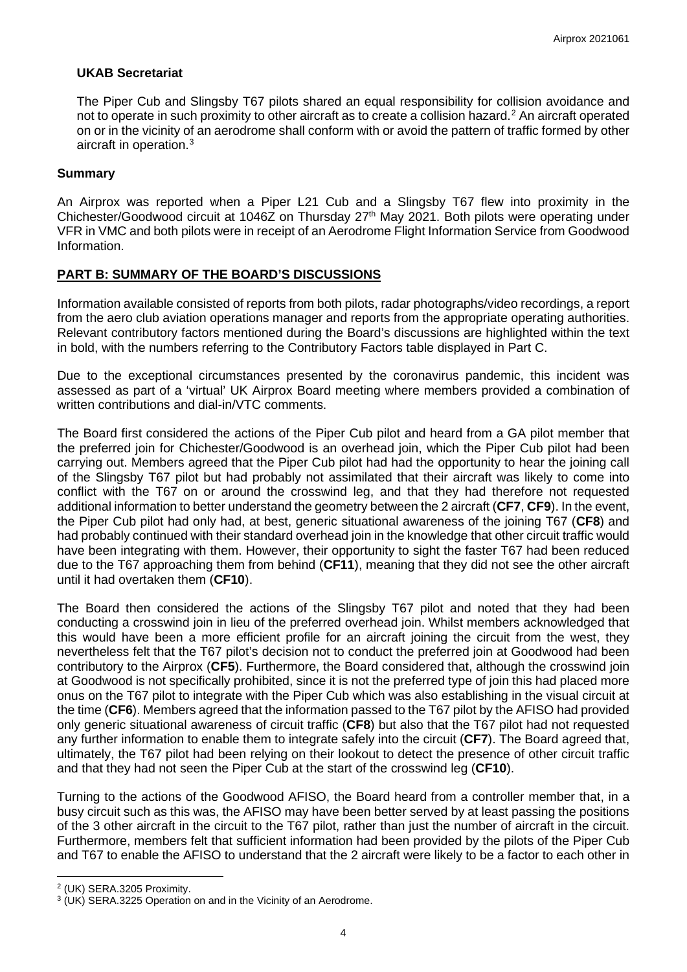## **UKAB Secretariat**

The Piper Cub and Slingsby T67 pilots shared an equal responsibility for collision avoidance and not to operate in such proximity to other aircraft as to create a collision hazard. [2](#page-3-0) An aircraft operated on or in the vicinity of an aerodrome shall conform with or avoid the pattern of traffic formed by other aircraft in operation. [3](#page-3-1)

## **Summary**

An Airprox was reported when a Piper L21 Cub and a Slingsby T67 flew into proximity in the Chichester/Goodwood circuit at 1046Z on Thursday 27<sup>th</sup> May 2021. Both pilots were operating under VFR in VMC and both pilots were in receipt of an Aerodrome Flight Information Service from Goodwood Information.

## **PART B: SUMMARY OF THE BOARD'S DISCUSSIONS**

Information available consisted of reports from both pilots, radar photographs/video recordings, a report from the aero club aviation operations manager and reports from the appropriate operating authorities. Relevant contributory factors mentioned during the Board's discussions are highlighted within the text in bold, with the numbers referring to the Contributory Factors table displayed in Part C.

Due to the exceptional circumstances presented by the coronavirus pandemic, this incident was assessed as part of a 'virtual' UK Airprox Board meeting where members provided a combination of written contributions and dial-in/VTC comments.

The Board first considered the actions of the Piper Cub pilot and heard from a GA pilot member that the preferred join for Chichester/Goodwood is an overhead join, which the Piper Cub pilot had been carrying out. Members agreed that the Piper Cub pilot had had the opportunity to hear the joining call of the Slingsby T67 pilot but had probably not assimilated that their aircraft was likely to come into conflict with the T67 on or around the crosswind leg, and that they had therefore not requested additional information to better understand the geometry between the 2 aircraft (**CF7**, **CF9**). In the event, the Piper Cub pilot had only had, at best, generic situational awareness of the joining T67 (**CF8**) and had probably continued with their standard overhead join in the knowledge that other circuit traffic would have been integrating with them. However, their opportunity to sight the faster T67 had been reduced due to the T67 approaching them from behind (**CF11**), meaning that they did not see the other aircraft until it had overtaken them (**CF10**).

The Board then considered the actions of the Slingsby T67 pilot and noted that they had been conducting a crosswind join in lieu of the preferred overhead join. Whilst members acknowledged that this would have been a more efficient profile for an aircraft joining the circuit from the west, they nevertheless felt that the T67 pilot's decision not to conduct the preferred join at Goodwood had been contributory to the Airprox (**CF5**). Furthermore, the Board considered that, although the crosswind join at Goodwood is not specifically prohibited, since it is not the preferred type of join this had placed more onus on the T67 pilot to integrate with the Piper Cub which was also establishing in the visual circuit at the time (**CF6**). Members agreed that the information passed to the T67 pilot by the AFISO had provided only generic situational awareness of circuit traffic (**CF8**) but also that the T67 pilot had not requested any further information to enable them to integrate safely into the circuit (**CF7**). The Board agreed that, ultimately, the T67 pilot had been relying on their lookout to detect the presence of other circuit traffic and that they had not seen the Piper Cub at the start of the crosswind leg (**CF10**).

Turning to the actions of the Goodwood AFISO, the Board heard from a controller member that, in a busy circuit such as this was, the AFISO may have been better served by at least passing the positions of the 3 other aircraft in the circuit to the T67 pilot, rather than just the number of aircraft in the circuit. Furthermore, members felt that sufficient information had been provided by the pilots of the Piper Cub and T67 to enable the AFISO to understand that the 2 aircraft were likely to be a factor to each other in

<span id="page-3-0"></span><sup>2</sup> (UK) SERA.3205 Proximity.

<span id="page-3-1"></span><sup>3</sup> (UK) SERA.3225 Operation on and in the Vicinity of an Aerodrome.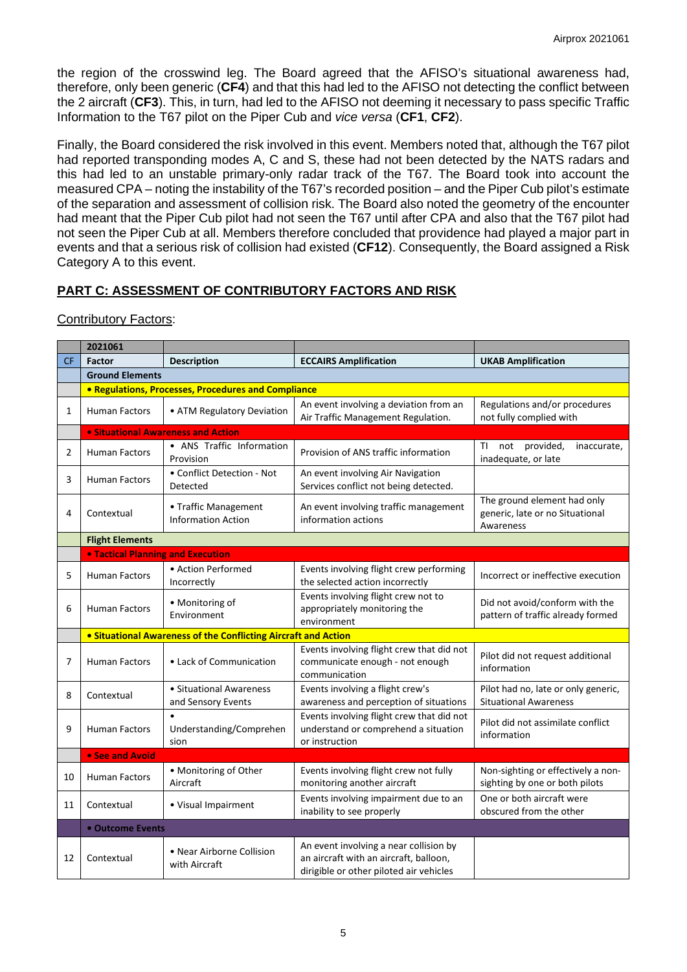the region of the crosswind leg. The Board agreed that the AFISO's situational awareness had, therefore, only been generic (**CF4**) and that this had led to the AFISO not detecting the conflict between the 2 aircraft (**CF3**). This, in turn, had led to the AFISO not deeming it necessary to pass specific Traffic Information to the T67 pilot on the Piper Cub and *vice versa* (**CF1**, **CF2**).

Finally, the Board considered the risk involved in this event. Members noted that, although the T67 pilot had reported transponding modes A, C and S, these had not been detected by the NATS radars and this had led to an unstable primary-only radar track of the T67. The Board took into account the measured CPA – noting the instability of the T67's recorded position – and the Piper Cub pilot's estimate of the separation and assessment of collision risk. The Board also noted the geometry of the encounter had meant that the Piper Cub pilot had not seen the T67 until after CPA and also that the T67 pilot had not seen the Piper Cub at all. Members therefore concluded that providence had played a major part in events and that a serious risk of collision had existed (**CF12**). Consequently, the Board assigned a Risk Category A to this event.

# **PART C: ASSESSMENT OF CONTRIBUTORY FACTORS AND RISK**

Contributory Factors:

|                | 2021061                                                    |                                                                       |                                                                                                                             |                                                                             |  |  |  |  |  |  |  |
|----------------|------------------------------------------------------------|-----------------------------------------------------------------------|-----------------------------------------------------------------------------------------------------------------------------|-----------------------------------------------------------------------------|--|--|--|--|--|--|--|
| <b>CF</b>      | <b>Factor</b><br><b>Description</b>                        |                                                                       | <b>ECCAIRS Amplification</b>                                                                                                | <b>UKAB Amplification</b>                                                   |  |  |  |  |  |  |  |
|                | <b>Ground Elements</b>                                     |                                                                       |                                                                                                                             |                                                                             |  |  |  |  |  |  |  |
|                | <b>• Regulations, Processes, Procedures and Compliance</b> |                                                                       |                                                                                                                             |                                                                             |  |  |  |  |  |  |  |
| 1              | <b>Human Factors</b>                                       | • ATM Regulatory Deviation                                            | An event involving a deviation from an<br>Air Traffic Management Regulation.                                                | Regulations and/or procedures<br>not fully complied with                    |  |  |  |  |  |  |  |
|                | <b>• Situational Awareness and Action</b>                  |                                                                       |                                                                                                                             |                                                                             |  |  |  |  |  |  |  |
| $\overline{2}$ | <b>Human Factors</b>                                       | • ANS Traffic Information<br>Provision                                | Provision of ANS traffic information                                                                                        | not provided,<br>ΤI<br>inaccurate,<br>inadequate, or late                   |  |  |  |  |  |  |  |
| 3              | <b>Human Factors</b>                                       | • Conflict Detection - Not<br>Detected                                | An event involving Air Navigation<br>Services conflict not being detected.                                                  |                                                                             |  |  |  |  |  |  |  |
| 4              | Contextual                                                 | • Traffic Management<br><b>Information Action</b>                     | An event involving traffic management<br>information actions                                                                | The ground element had only<br>generic, late or no Situational<br>Awareness |  |  |  |  |  |  |  |
|                | <b>Flight Elements</b>                                     |                                                                       |                                                                                                                             |                                                                             |  |  |  |  |  |  |  |
|                | <b>. Tactical Planning and Execution</b>                   |                                                                       |                                                                                                                             |                                                                             |  |  |  |  |  |  |  |
| 5              | <b>Human Factors</b>                                       | • Action Performed<br>Incorrectly                                     | Events involving flight crew performing<br>the selected action incorrectly                                                  | Incorrect or ineffective execution                                          |  |  |  |  |  |  |  |
| 6              | <b>Human Factors</b>                                       | • Monitoring of<br>Environment                                        | Events involving flight crew not to<br>appropriately monitoring the<br>environment                                          | Did not avoid/conform with the<br>pattern of traffic already formed         |  |  |  |  |  |  |  |
|                |                                                            | <b>• Situational Awareness of the Conflicting Aircraft and Action</b> |                                                                                                                             |                                                                             |  |  |  |  |  |  |  |
| 7              | <b>Human Factors</b>                                       | • Lack of Communication                                               | Events involving flight crew that did not<br>communicate enough - not enough<br>communication                               | Pilot did not request additional<br>information                             |  |  |  |  |  |  |  |
| 8              | Contextual                                                 | · Situational Awareness<br>and Sensory Events                         | Events involving a flight crew's<br>awareness and perception of situations                                                  | Pilot had no, late or only generic,<br><b>Situational Awareness</b>         |  |  |  |  |  |  |  |
| 9              | <b>Human Factors</b><br>Understanding/Comprehen<br>sion    |                                                                       | Events involving flight crew that did not<br>understand or comprehend a situation<br>or instruction                         | Pilot did not assimilate conflict<br>information                            |  |  |  |  |  |  |  |
|                | • See and Avoid                                            |                                                                       |                                                                                                                             |                                                                             |  |  |  |  |  |  |  |
| 10             | Human Factors                                              | • Monitoring of Other<br>Aircraft                                     | Events involving flight crew not fully<br>monitoring another aircraft                                                       | Non-sighting or effectively a non-<br>sighting by one or both pilots        |  |  |  |  |  |  |  |
| 11             | Contextual                                                 | • Visual Impairment                                                   | Events involving impairment due to an<br>inability to see properly                                                          | One or both aircraft were<br>obscured from the other                        |  |  |  |  |  |  |  |
|                | • Outcome Events                                           |                                                                       |                                                                                                                             |                                                                             |  |  |  |  |  |  |  |
| 12             | Contextual                                                 | • Near Airborne Collision<br>with Aircraft                            | An event involving a near collision by<br>an aircraft with an aircraft, balloon,<br>dirigible or other piloted air vehicles |                                                                             |  |  |  |  |  |  |  |